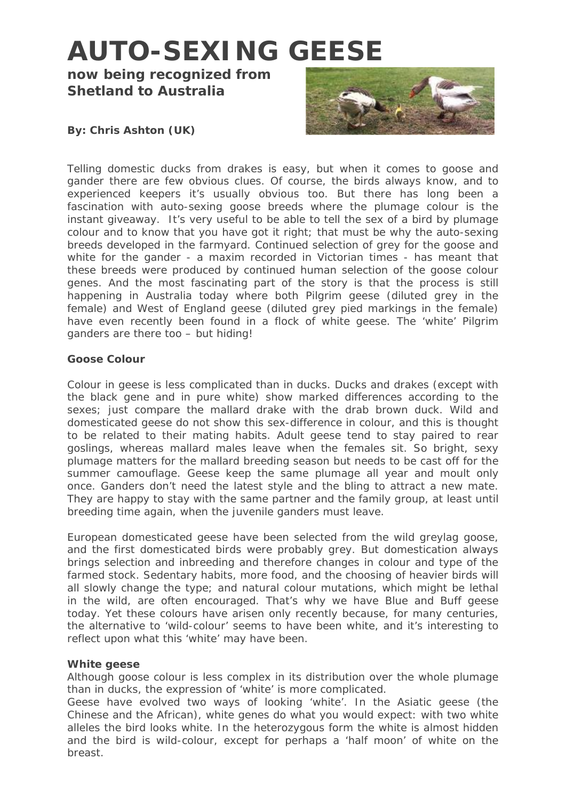# **AUTO-SEXING GEESE**

**now being recognized from Shetland to Australia** 



# **By: Chris Ashton (UK)**

Telling domestic ducks from drakes is easy, but when it comes to goose and gander there are few obvious clues. Of course, the birds always know, and to experienced keepers it's usually obvious too. But there has long been a fascination with auto-sexing goose breeds where the plumage colour is the instant giveaway. It's very useful to be able to tell the sex of a bird by plumage colour and to know that you have got it right; that must be why the auto-sexing breeds developed in the farmyard. Continued selection of grey for the goose and white for the gander - a maxim recorded in Victorian times - has meant that these breeds were produced by continued human selection of the goose colour genes. And the most fascinating part of the story is that the process is still happening in Australia today where both Pilgrim geese (diluted grey in the female) and West of England geese (diluted grey pied markings in the female) have even recently been found in a flock of white geese. The 'white' Pilgrim ganders are there too – but hiding!

### **Goose Colour**

Colour in geese is less complicated than in ducks. Ducks and drakes (except with the black gene and in pure white) show marked differences according to the sexes; just compare the mallard drake with the drab brown duck. Wild and domesticated geese do not show this sex-difference in colour, and this is thought to be related to their mating habits. Adult geese tend to stay paired to rear goslings, whereas mallard males leave when the females sit. So bright, sexy plumage matters for the mallard breeding season but needs to be cast off for the summer camouflage. Geese keep the same plumage all year and moult only once. Ganders don't need the latest style and the bling to attract a new mate. They are happy to stay with the same partner and the family group, at least until breeding time again, when the juvenile ganders must leave.

European domesticated geese have been selected from the wild greylag goose, and the first domesticated birds were probably grey. But domestication always brings selection and inbreeding and therefore changes in colour and type of the farmed stock. Sedentary habits, more food, and the choosing of heavier birds will all slowly change the type; and natural colour mutations, which might be lethal in the wild, are often encouraged. That's why we have Blue and Buff geese today. Yet these colours have arisen only recently because, for many centuries, the alternative to 'wild-colour' seems to have been white, and it's interesting to reflect upon what this 'white' may have been.

#### **White geese**

Although goose colour is less complex in its distribution over the whole plumage than in ducks, the expression of 'white' is more complicated.

Geese have evolved two ways of looking 'white'. In the Asiatic geese (the Chinese and the African), white genes do what you would expect: with two white alleles the bird looks white. In the heterozygous form the white is almost hidden and the bird is wild-colour, except for perhaps a 'half moon' of white on the breast.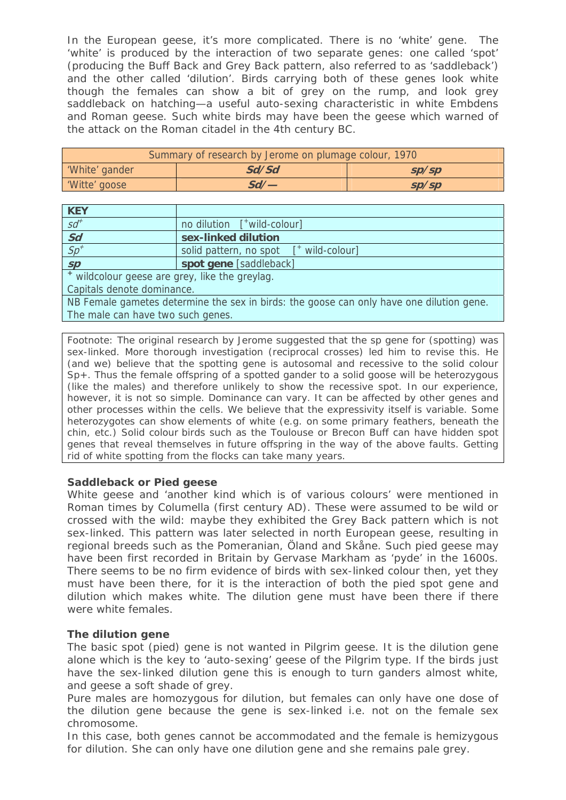In the European geese, it's more complicated. There is no 'white' gene. The 'white' is produced by the interaction of two separate genes: one called 'spot' (producing the Buff Back and Grey Back pattern, also referred to as 'saddleback') and the other called 'dilution'. Birds carrying both of these genes look white though the females can show a bit of grey on the rump, and look grey saddleback on hatching—a useful auto-sexing characteristic in white Embdens and Roman geese. Such white birds may have been the geese which warned of the attack on the Roman citadel in the 4th century BC.

| Summary of research by Jerome on plumage colour, 1970 |       |       |
|-------------------------------------------------------|-------|-------|
| 'White' gander                                        | Sd/Sd | SD/SD |
| 'Witte' goose                                         | Sd/   | SD/SD |

| <b>KEY</b>                                                                               |                                                                             |  |
|------------------------------------------------------------------------------------------|-----------------------------------------------------------------------------|--|
| $sd^{\dagger}$                                                                           | no dilution $\left[\begin{array}{cc} +\text{wild-colour}\end{array}\right]$ |  |
| $\frac{Sd}{Sp}$                                                                          | sex-linked dilution                                                         |  |
|                                                                                          | solid pattern, no spot<br>wild-colour]                                      |  |
| SP                                                                                       | spot gene [saddleback]                                                      |  |
| * wildcolour geese are grey, like the greylag.                                           |                                                                             |  |
| Capitals denote dominance.                                                               |                                                                             |  |
| NB Female gametes determine the sex in birds: the goose can only have one dilution gene. |                                                                             |  |
| The male can have two such genes.                                                        |                                                                             |  |

*Footnote*: The original research by Jerome suggested that the *sp* gene for (spotting) was sex-linked. More thorough investigation (reciprocal crosses) led him to revise this. He (and we) believe that the spotting gene is autosomal and recessive to the solid colour *Sp+.* Thus the female offspring of a spotted gander to a solid goose will be heterozygous (like the males) and therefore unlikely to show the recessive spot. In our experience, however, it is not so simple. Dominance can vary. It can be affected by other genes and other processes within the cells. We believe that the expressivity itself is variable. Some heterozygotes can show elements of white (e.g. on some primary feathers, beneath the chin, etc.) Solid colour birds such as the Toulouse or Brecon Buff can have hidden spot genes that reveal themselves in future offspring in the way of the above faults. Getting rid of white spotting from the flocks can take many years.

#### **Saddleback or Pied geese**

White geese and 'another kind which is of various colours' were mentioned in Roman times by Columella (first century AD). These were assumed to be wild or crossed with the wild: maybe they exhibited the Grey Back pattern which is not sex-linked. This pattern was later selected in north European geese, resulting in regional breeds such as the Pomeranian, Öland and Skåne. Such pied geese may have been first recorded in Britain by Gervase Markham as 'pyde' in the 1600s. There seems to be no firm evidence of birds with sex-linked colour then, yet they must have been there, for it is the interaction of both the pied spot gene and dilution which makes white. The dilution gene must have been there if there were white females.

# **The dilution gene**

The basic spot (pied) gene is not wanted in Pilgrim geese. It is the dilution gene alone which is the key to 'auto-sexing' geese of the Pilgrim type. If the birds just have the sex-linked dilution gene this is enough to turn ganders almost white, and geese a soft shade of grey.

Pure males are homozygous for dilution, but females can only have one dose of the dilution gene because the gene is sex-linked i.e. not on the female sex chromosome.

In this case, both genes cannot be accommodated and the female is hemizygous for dilution. She can only have one dilution gene and she remains pale grey.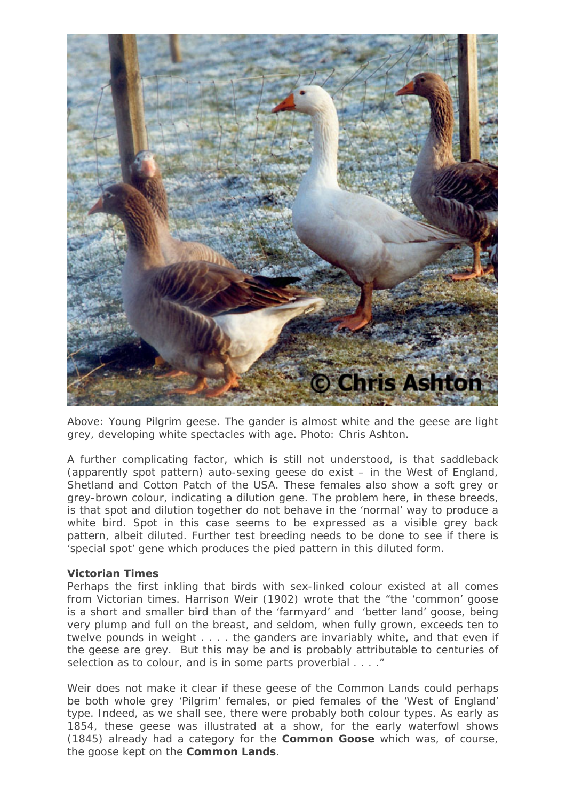

*Above: Young Pilgrim geese. The gander is almost white and the geese are light grey, developing white spectacles with age. Photo: Chris Ashton.* 

A further complicating factor, which is still not understood, is that saddleback (apparently spot pattern) auto-sexing geese do exist – in the West of England, Shetland and Cotton Patch of the USA. These females also show a soft grey or grey-brown colour, indicating a dilution gene. The problem here, in these breeds, is that spot and dilution together do not behave in the 'normal' way to produce a white bird. Spot in this case seems to be expressed as a visible grey back pattern, albeit diluted. Further test breeding needs to be done to see if there is 'special spot' gene which produces the pied pattern in this diluted form.

#### **Victorian Times**

Perhaps the first inkling that birds with sex-linked colour existed at all comes from Victorian times. Harrison Weir (1902) wrote that the "the 'common' goose is a short and smaller bird than of the 'farmyard' and 'better land' goose, being very plump and full on the breast, and seldom, when fully grown, exceeds ten to twelve pounds in weight . . . . the ganders are invariably white, and that even if the geese are grey. But this may be and is probably attributable to centuries of selection as to colour, and is in some parts proverbial . . . ."

Weir does not make it clear if these geese of the Common Lands could perhaps be both whole grey 'Pilgrim' females, or pied females of the 'West of England' type. Indeed, as we shall see, there were probably both colour types. As early as 1854, these geese was illustrated at a show, for the early waterfowl shows (1845) already had a category for the **Common Goose** which was, of course, the goose kept on the **Common Lands**.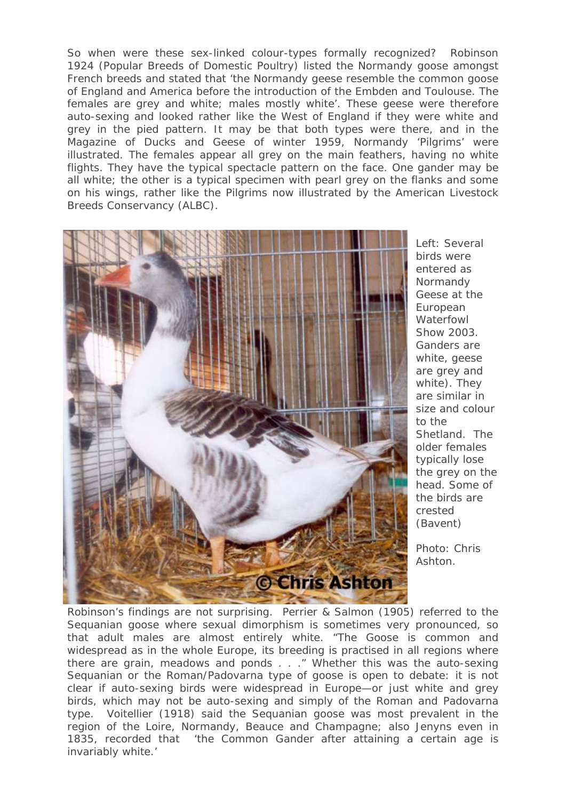So when were these sex-linked colour-types formally recognized? Robinson 1924 (Popular Breeds of Domestic Poultry) listed the Normandy goose amongst French breeds and stated that 'the Normandy geese resemble the common goose of England and America before the introduction of the Embden and Toulouse. The females are grey and white; males mostly white'. These geese were therefore auto-sexing and looked rather like the West of England if they were white and grey in the pied pattern. It may be that both types were there, and in the Magazine of Ducks and Geese of winter 1959, Normandy 'Pilgrims' were illustrated. The females appear all grey on the main feathers, having no white flights. They have the typical spectacle pattern on the face. One gander may be all white; the other is a typical specimen with pearl grey on the flanks and some on his wings, rather like the Pilgrims now illustrated by the American Livestock Breeds Conservancy (ALBC).



*Left: Several birds were entered as Normandy Geese at the European Waterfowl Show 2003. Ganders are white, geese are grey and white). They are similar in size and colour to the Shetland. The older females typically lose the grey on the head. Some of the birds are crested (Bavent)* 

*Photo: Chris Ashton.* 

Robinson's findings are not surprising. Perrier & Salmon (1905) referred to the Sequanian goose where sexual dimorphism is sometimes very pronounced, so that adult males are almost entirely white. "The Goose is common and widespread as in the whole Europe, its breeding is practised in all regions where there are grain, meadows and ponds . . ." Whether this was the auto-sexing Sequanian or the Roman/Padovarna type of goose is open to debate: it is not clear if auto-sexing birds were widespread in Europe—or just white and grey birds, which may not be auto-sexing and simply of the Roman and Padovarna type. Voitellier (1918) said the Sequanian goose was most prevalent in the region of the Loire, Normandy, Beauce and Champagne; also Jenyns even in 1835, recorded that 'the Common Gander after attaining a certain age is invariably white.'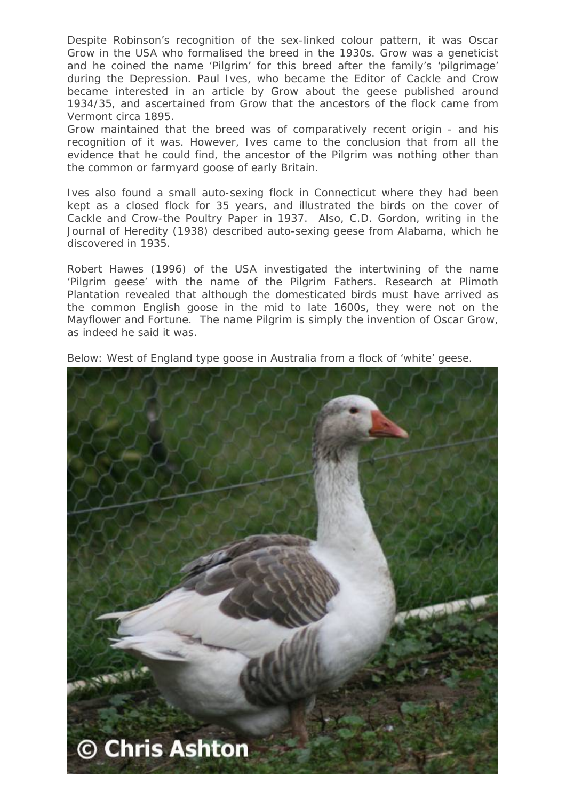Despite Robinson's recognition of the sex-linked colour pattern, it was Oscar Grow in the USA who formalised the breed in the 1930s. Grow was a geneticist and he coined the name 'Pilgrim' for this breed after the family's 'pilgrimage' during the Depression. Paul Ives, who became the Editor of Cackle and Crow became interested in an article by Grow about the geese published around 1934/35, and ascertained from Grow that the ancestors of the flock came from Vermont circa 1895.

Grow maintained that the breed was of comparatively recent origin - and his recognition of it was. However, Ives came to the conclusion that from all the evidence that he could find, the ancestor of the Pilgrim was nothing other than the common or farmyard goose of early Britain.

Ives also found a small auto-sexing flock in Connecticut where they had been kept as a closed flock for 35 years, and illustrated the birds on the cover of Cackle and Crow-the Poultry Paper in 1937. Also, C.D. Gordon, writing in the Journal of Heredity (1938) described auto-sexing geese from Alabama, which he discovered in 1935.

Robert Hawes (1996) of the USA investigated the intertwining of the name 'Pilgrim geese' with the name of the Pilgrim Fathers. Research at Plimoth Plantation revealed that although the domesticated birds must have arrived as the common English goose in the mid to late 1600s, they were not on the Mayflower and Fortune. The name Pilgrim is simply the invention of Oscar Grow, as indeed he said it was.



*Below: West of England type goose in Australia from a flock of 'white' geese.*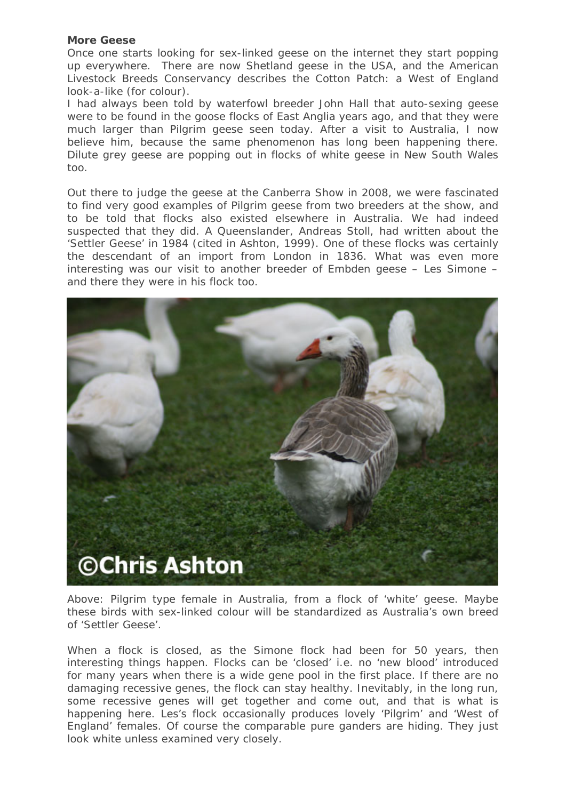#### **More Geese**

Once one starts looking for sex-linked geese on the internet they start popping up everywhere. There are now Shetland geese in the USA, and the American Livestock Breeds Conservancy describes the Cotton Patch: a West of England look-a-like (for colour).

I had always been told by waterfowl breeder John Hall that auto-sexing geese were to be found in the goose flocks of East Anglia years ago, and that they were much larger than Pilgrim geese seen today. After a visit to Australia, I now believe him, because the same phenomenon has long been happening there. Dilute grey geese are popping out in flocks of white geese in New South Wales too.

Out there to judge the geese at the Canberra Show in 2008, we were fascinated to find very good examples of Pilgrim geese from two breeders at the show, and to be told that flocks also existed elsewhere in Australia. We had indeed suspected that they did. A Queenslander, Andreas Stoll, had written about the 'Settler Geese' in 1984 (cited in Ashton, 1999). One of these flocks was certainly the descendant of an import from London in 1836. What was even more interesting was our visit to another breeder of Embden geese – Les Simone – and there they were in his flock too.



*Above: Pilgrim type female in Australia, from a flock of 'white' geese. Maybe these birds with sex-linked colour will be standardized as Australia's own breed of 'Settler Geese'.* 

When a flock is closed, as the Simone flock had been for 50 years, then interesting things happen. Flocks can be 'closed' i.e. no 'new blood' introduced for many years when there is a wide gene pool in the first place. If there are no damaging recessive genes, the flock can stay healthy. Inevitably, in the long run, some recessive genes will get together and come out, and that is what is happening here. Les's flock occasionally produces lovely 'Pilgrim' and 'West of England' females. Of course the comparable pure ganders are hiding. They just look white unless examined very closely.